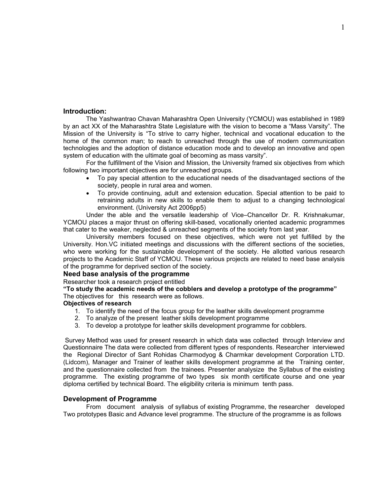#### **Introduction:**

The Yashwantrao Chavan Maharashtra Open University (YCMOU) was established in 1989 by an act XX of the Maharashtra State Legislature with the vision to become a "Mass Varsity". The Mission of the University is "To strive to carry higher, technical and vocational education to the home of the common man; to reach to unreached through the use of modern communication technologies and the adoption of distance education mode and to develop an innovative and open system of education with the ultimate goal of becoming as mass varsity".

For the fulfillment of the Vision and Mission, the University framed six objectives from which following two important objectives are for unreached groups.

- ∑ To pay special attention to the educational needs of the disadvantaged sections of the society, people in rural area and women.
- ∑ To provide continuing, adult and extension education. Special attention to be paid to retraining adults in new skills to enable them to adjust to a changing technological environment. (University Act 2006pp5)

Under the able and the versatile leadership of Vice–Chancellor Dr. R. Krishnakumar, YCMOU places a major thrust on offering skill-based, vocationally oriented academic programmes that cater to the weaker, neglected & unreached segments of the society from last year.

University members focused on these objectives, which were not yet fulfilled by the University. Hon.VC initiated meetings and discussions with the different sections of the societies, who were working for the sustainable development of the society. He allotted various research projects to the Academic Staff of YCMOU. These various projects are related to need base analysis of the programme for deprived section of the society.

#### **Need base analysis of the programme**

Researcher took a research project entitled

**"To study the academic needs of the cobblers and develop a prototype of the programme"** The objectives for this research were as follows.

#### **Objectives of research**

- 1. To identify the need of the focus group for the leather skills development programme
- 2. To analyze of the present leather skills development programme
- 3. To develop a prototype for leather skills development programme for cobblers.

Survey Method was used for present research in which data was collected through Interview and Questionnaire The data were collected from different types of respondents. Researcher interviewed the Regional Director of Sant Rohidas Charmodyog & Charmkar development Corporation LTD. (Lidcom), Manager and Trainer of leather skills development programme at the Training center, and the questionnaire collected from the trainees. Presenter analysize the Syllabus of the existing programme. The existing programme of two types six month certificate course and one year diploma certified by technical Board. The eligibility criteria is minimum tenth pass.

#### **Development of Programme**

From document analysis of syllabus of existing Programme, the researcher developed Two prototypes Basic and Advance level programme. The structure of the programme is as follows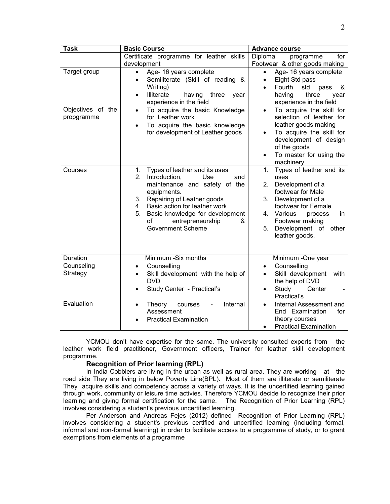| Task                            | <b>Basic Course</b>                                                                                                                                                                                                                                                                                            | <b>Advance course</b>                                                                                                                                                                                                                        |
|---------------------------------|----------------------------------------------------------------------------------------------------------------------------------------------------------------------------------------------------------------------------------------------------------------------------------------------------------------|----------------------------------------------------------------------------------------------------------------------------------------------------------------------------------------------------------------------------------------------|
|                                 | Certificate programme for leather skills<br>development                                                                                                                                                                                                                                                        | Diploma<br>for<br>programme<br>Footwear & other goods making                                                                                                                                                                                 |
| Target group                    | Age- 16 years complete<br>$\bullet$<br>Semiliterate (Skill of reading &<br>٠<br>Writing)<br>Illiterate<br>having<br>three<br>year<br>$\bullet$<br>experience in the field                                                                                                                                      | Age- 16 years complete<br>٠<br>Eight Std pass<br>٠<br>Fourth<br>std<br>pass<br>&<br>$\bullet$<br>three<br>having<br>year<br>experience in the field                                                                                          |
| Objectives of the<br>propgramme | To acquire the basic Knowledge<br>$\bullet$<br>for Leather work<br>To acquire the basic knowledge<br>$\bullet$<br>for development of Leather goods                                                                                                                                                             | To acquire the skill for<br>$\bullet$<br>selection of leather for<br>leather goods making<br>To acquire the skill for<br>development of design<br>of the goods<br>To master for using the<br>machinery                                       |
| Courses                         | Types of leather and its uses<br>1.<br>2.<br>Introduction,<br><b>Use</b><br>and<br>maintenance and safety of the<br>equipments.<br>Repairing of Leather goods<br>3.<br>Basic action for leather work<br>4.<br>Basic knowledge for development<br>5.<br>entrepreneurship<br>οf<br>&<br><b>Government Scheme</b> | Types of leather and its<br>1.<br>uses<br>2.<br>Development of a<br>footwear for Male<br>3.<br>Development of a<br>footwear for Female<br>Various<br>4.<br>process<br>in.<br>Footwear making<br>Development of other<br>5.<br>leather goods. |
| Duration                        | Minimum -Six months                                                                                                                                                                                                                                                                                            | Minimum -One year                                                                                                                                                                                                                            |
| Counseling<br>Strategy          | Counselling<br>$\bullet$<br>Skill development with the help of<br><b>DVD</b><br>Study Center - Practical's                                                                                                                                                                                                     | Counselling<br>$\bullet$<br>Skill development<br>with<br>the help of DVD<br>Study<br>Center<br>Practical's                                                                                                                                   |
| Evaluation                      | Internal<br>Theory<br>courses<br>$\bullet$<br>Assessment<br><b>Practical Examination</b>                                                                                                                                                                                                                       | Internal Assessment and<br>$\bullet$<br>End Examination<br>for<br>theory courses<br><b>Practical Examination</b>                                                                                                                             |

YCMOU don't have expertise for the same. The university consulted experts from the leather work field practitioner, Government officers, Trainer for leather skill development programme.

### **Recognition of Prior learning (RPL)**

In India Cobblers are living in the urban as well as rural area. They are working at the road side They are living in below Poverty Line(BPL). Most of them are illiterate or semiliterate They acquire skills and competency across a variety of ways. It is the uncertified learning gained through work, community or leisure time activies. Therefore YCMOU decide to recognize their prior learning and giving formal certification for the same. The Recognition of Prior Learning (RPL) involves considering a student's previous uncertified learning.

Per Anderson and Andreas Fejes (2012) defined Recognition of Prior Learning (RPL) involves considering a student's previous certified and uncertified learning (including formal, informal and non-formal learning) in order to facilitate access to a programme of study, or to grant exemptions from elements of a programme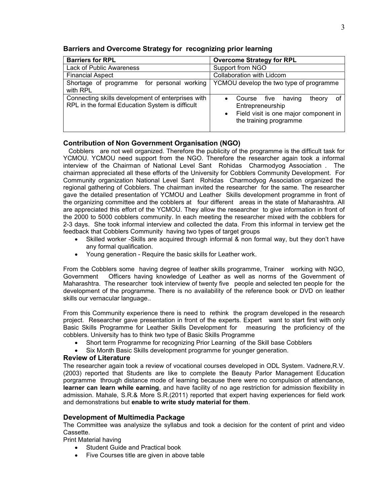| <b>Barriers for RPL</b>                                                                              | <b>Overcome Strategy for RPL</b>                                                                                                                          |
|------------------------------------------------------------------------------------------------------|-----------------------------------------------------------------------------------------------------------------------------------------------------------|
| <b>Lack of Public Awareness</b>                                                                      | Support from NGO                                                                                                                                          |
| <b>Financial Aspect</b>                                                                              | Collaboration with Lidcom                                                                                                                                 |
| Shortage of programme for personal working<br>with RPL                                               | YCMOU develop the two type of programme                                                                                                                   |
| Connecting skills development of enterprises with<br>RPL in the formal Education System is difficult | οf<br>five<br>theory<br>Course<br>having<br>$\bullet$<br>Entrepreneurship<br>Field visit is one major component in<br>$\bullet$<br>the training programme |

### **Barriers and Overcome Strategy for recognizing prior learning**

### **Contribution of Non Government Organisation (NGO)**

Cobblers are not well organized. Therefore the publicity of the programme is the difficult task for YCMOU. YCMOU need support from the NGO. Therefore the researcher again took a informal interview of the Chairman of National Level Sant Rohidas Charmodyog Association . The chairman appreciated all these efforts of the University for Cobblers Community Development. For Community organization National Level Sant Rohidas Charmodyog Association organized the regional gathering of Cobblers. The chairman invited the researcher for the same. The researcher gave the detailed presentation of YCMOU and Leather Skills development programme in front of the organizing committee and the cobblers at four different areas in the state of Maharashtra. All are appreciated this effort of the YCMOU. They allow the researcher to give information in front of the 2000 to 5000 cobblers community. In each meeting the researcher mixed with the cobblers for 2-3 days. She took informal interview and collected the data. From this informal in terview get the feedback that Cobblers Community having two types of target groups

- Skilled worker -Skills are acquired through informal & non formal way, but they don't have any formal qualification.
- ∑ Young generation Require the basic skills for Leather work.

From the Cobblers some having degree of leather skills programme, Trainer working with NGO, Government Officers having knowledge of Leather as well as norms of the Government of Maharashtra. The researcher took interview of twenty five people and selected ten people for the development of the programme. There is no availability of the reference book or DVD on leather skills our vernacular language..

From this Community experience there is need to rethink the program developed in the research project. Researcher gave presentation in front of the experts. Expert want to start first with only Basic Skills Programme for Leather Skills Development for measuring the proficiency of the cobblers. University has to think two type of Basic Skills Programme

- Short term Programme for recognizing Prior Learning of the Skill base Cobblers
- Six Month Basic Skills development programme for younger generation.

#### **Review of Literature**

The researcher again took a review of vocational courses developed in ODL System. Vadnere, R.V. (2003) reported that Students are like to complete the Beauty Parlor Management Education porgramme through distance mode of learning because there were no compulsion of attendance, **learner can learn while earning**, and have facility of no age restriction for admission flexibility in admission. Mahale, S.R.& More S.R.(2011) reported that expert having experiences for field work and demonstrations but **enable to write study material for them**.

# **Development of Multimedia Package**

The Committee was analysize the syllabus and took a decision for the content of print and video Cassette.

Print Material having

- Student Guide and Practical book
- Five Courses title are given in above table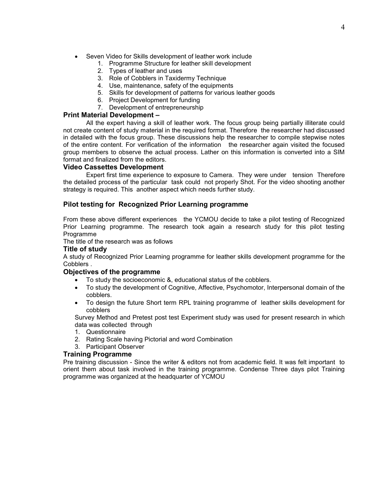- Seven Video for Skills development of leather work include
	- 1. Programme Structure for leather skill development
	- 2. Types of leather and uses
	- 3. Role of Cobblers in Taxidermy Technique
	- 4. Use, maintenance, safety of the equipments
	- 5. Skills for development of patterns for various leather goods
	- 6. Project Development for funding
	- 7. Development of entrepreneurship

## **Print Material Development –**

All the expert having a skill of leather work. The focus group being partially illiterate could not create content of study material in the required format. Therefore the researcher had discussed in detailed with the focus group. These discussions help the researcher to compile stepwise notes of the entire content. For verification of the information the researcher again visited the focused group members to observe the actual process. Lather on this information is converted into a SIM format and finalized from the editors.

### **Video Cassettes Development**

Expert first time experience to exposure to Camera. They were under tension Therefore the detailed process of the particular task could not properly Shot. For the video shooting another strategy is required. This another aspect which needs further study.

# **Pilot testing for Recognized Prior Learning programme**

From these above different experiences the YCMOU decide to take a pilot testing of Recognized Prior Learning programme. The research took again a research study for this pilot testing Programme

The title of the research was as follows

### **Title of study**

A study of Recognized Prior Learning programme for leather skills development programme for the Cobblers .

#### **Objectives of the programme**

- ∑ To study the socioeconomic &, educational status of the cobblers.
- To study the development of Cognitive, Affective, Psychomotor, Interpersonal domain of the cobblers.
- To design the future Short term RPL training programme of leather skills development for cobblers

Survey Method and Pretest post test Experiment study was used for present research in which data was collected through

- 1. Questionnaire
- 2. Rating Scale having Pictorial and word Combination
- 3. Participant Observer

#### **Training Programme**

Pre training discussion - Since the writer & editors not from academic field. It was felt important to orient them about task involved in the training programme. Condense Three days pilot Training programme was organized at the headquarter of YCMOU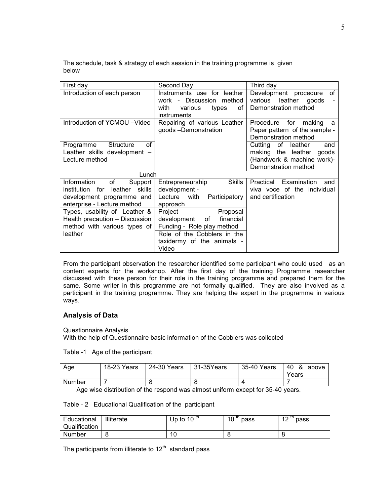The schedule, task & strategy of each session in the training programme is given below

| First day                                                                                                                        | Second Day                                                                                                                                                  | Third day                                                                                                         |
|----------------------------------------------------------------------------------------------------------------------------------|-------------------------------------------------------------------------------------------------------------------------------------------------------------|-------------------------------------------------------------------------------------------------------------------|
| Introduction of each person                                                                                                      | Instruments use for leather<br>Discussion<br>method<br>work<br>$\sim$<br>with<br>various<br>types<br>οf<br>instruments                                      | Development procedure<br>οf<br>leather<br>various<br>goods<br>Demonstration method                                |
| Introduction of YCMOU -Video                                                                                                     | Repairing of various Leather<br>goods-Demonstration                                                                                                         | for<br>Procedure<br>making<br>a<br>Paper pattern of the sample -<br>Demonstration method                          |
| οf<br>Structure<br>Programme<br>Leather skills development -<br>Lecture method                                                   |                                                                                                                                                             | Cutting of<br>leather<br>and<br>making the leather<br>goods<br>(Handwork & machine work)-<br>Demonstration method |
| Lunch                                                                                                                            |                                                                                                                                                             |                                                                                                                   |
| of<br>Information<br>Support<br>leather<br>skills<br>institution for<br>development programme and<br>enterprise - Lecture method | <b>Skills</b><br>Entrepreneurship<br>development -<br>Lecture with<br>Participatory<br>approach                                                             | Examination<br>Practical<br>and<br>viva voce of the individual<br>and certification                               |
| Types, usability of Leather &<br>Health precaution - Discussion<br>method with various types of<br>leather                       | Project<br>Proposal<br>development<br>financial<br>of _<br>Funding - Role play method<br>Role of the Cobblers in the<br>taxidermy of the animals -<br>Video |                                                                                                                   |

From the participant observation the researcher identified some participant who could used as an content experts for the workshop. After the first day of the training Programme researcher discussed with these person for their role in the training programme and prepared them for the same. Some writer in this programme are not formally qualified. They are also involved as a participant in the training programme. They are helping the expert in the programme in various ways.

# **Analysis of Data**

Questionnaire Analysis With the help of Questionnaire basic information of the Cobblers was collected

Table -1 Age of the participant

| Age    | 18-23 Years | 24-30 Years | $\vert$ 31-35Years | 35-40 Years | $ 40 \& above$<br>Years |
|--------|-------------|-------------|--------------------|-------------|-------------------------|
| Number |             |             |                    |             |                         |

Age wise distribution of the respond was almost uniform except for 35-40 years.

|  | Table - 2 Educational Qualification of the participant |  |  |  |
|--|--------------------------------------------------------|--|--|--|
|--|--------------------------------------------------------|--|--|--|

| Educational<br>Qualification | Illiterate | Up to 10 $10$ | th<br>10<br>pass | 10 UI<br>pass<br>. . |
|------------------------------|------------|---------------|------------------|----------------------|
| Number                       |            | 10            |                  | ີ                    |

The participants from illiterate to  $12<sup>th</sup>$  standard pass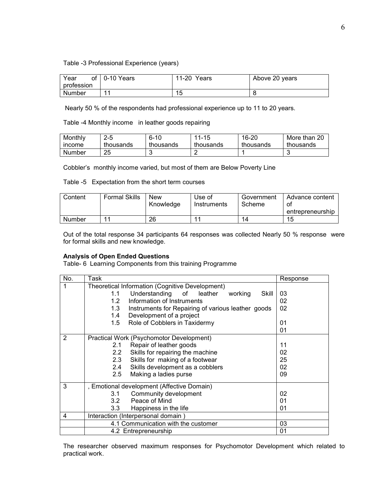Table -3 Professional Experience (years)

| Year          | of $\vert$ 0-10 Years | 11-20 Years | Above 20 years |
|---------------|-----------------------|-------------|----------------|
| profession    |                       |             |                |
| <b>Number</b> | 44                    | 15          |                |

Nearly 50 % of the respondents had professional experience up to 11 to 20 years.

Table -4 Monthly income in leather goods repairing

| Monthly | $2 - 5$   | $6 - 10$  | $11 - 15$ | 16-20     | More than 20 |
|---------|-----------|-----------|-----------|-----------|--------------|
| income  | thousands | thousands | thousands | thousands | thousands    |
| Number  | 25        |           |           |           |              |

Cobbler's monthly income varied, but most of them are Below Poverty Line

Table -5 Expectation from the short term courses

| Content | <b>Formal Skills</b> | <b>New</b><br>Knowledge | Use of<br>Instruments | Government<br>Scheme | Advance content<br>Οt |
|---------|----------------------|-------------------------|-----------------------|----------------------|-----------------------|
|         |                      |                         |                       |                      | entrepreneurship      |
| Number  | -1                   | 26                      |                       | 14                   | 15                    |

Out of the total response 34 participants 64 responses was collected Nearly 50 % response were for formal skills and new knowledge.

### **Analysis of Open Ended Questions**

Table- 6 Learning Components from this training Programme

| No. | Task                                                      | Response |
|-----|-----------------------------------------------------------|----------|
|     | Theoretical Information (Cognitive Development)           |          |
|     | 1.1<br>Understanding of leather<br>Skill<br>working       | 03       |
|     | Information of Instruments<br>1.2 <sub>1</sub>            | 02       |
|     | 1.3<br>Instruments for Repairing of various leather goods | 02       |
|     | Development of a project<br>1.4                           |          |
|     | 1.5 Role of Cobblers in Taxidermy                         | 01       |
|     |                                                           | 01       |
| 2   | Practical Work (Psychomotor Development)                  |          |
|     | Repair of leather goods<br>2.1                            | 11       |
|     | Skills for repairing the machine<br>2.2                   | 02       |
|     | 2.3 Skills for making of a footwear                       | 25       |
|     | Skills development as a cobblers<br>2.4                   | 02       |
|     | Making a ladies purse<br>2.5                              | 09       |
| 3   | , Emotional development (Affective Domain)                |          |
|     | Community development<br>3.1                              | 02       |
|     | Peace of Mind<br>3.2                                      | 01       |
|     | 3.3<br>Happiness in the life                              | 01       |
| 4   | Interaction (Interpersonal domain)                        |          |
|     | 4.1 Communication with the customer                       | 03       |
|     | 4.2 Entrepreneurship                                      | 01       |

The researcher observed maximum responses for Psychomotor Development which related to practical work.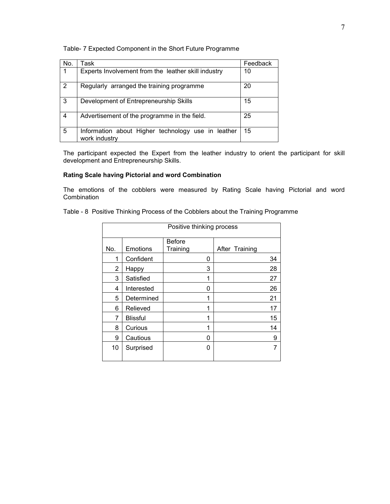### Table- 7 Expected Component in the Short Future Programme

| No.            | Task                                                                | Feedback |
|----------------|---------------------------------------------------------------------|----------|
|                | Experts Involvement from the leather skill industry                 | 10       |
| $\overline{2}$ | Regularly arranged the training programme                           | 20       |
| 3              | Development of Entrepreneurship Skills                              | 15       |
| 4              | Advertisement of the programme in the field.                        | 25       |
| 5              | Information about Higher technology use in leather<br>work industry | 15       |

The participant expected the Expert from the leather industry to orient the participant for skill development and Entrepreneurship Skills.

# **Rating Scale having Pictorial and word Combination**

The emotions of the cobblers were measured by Rating Scale having Pictorial and word Combination

|  |  | Table - 8 Positive Thinking Process of the Cobblers about the Training Programme |
|--|--|----------------------------------------------------------------------------------|
|  |  |                                                                                  |

| Positive thinking process |                 |               |                |  |  |  |  |  |
|---------------------------|-----------------|---------------|----------------|--|--|--|--|--|
|                           |                 | <b>Before</b> |                |  |  |  |  |  |
| No.                       | <b>Emotions</b> | Training      | After Training |  |  |  |  |  |
| 1                         | Confident       | 0             | 34             |  |  |  |  |  |
| 2                         | Happy           | 3             | 28             |  |  |  |  |  |
| 3                         | Satisfied       | 1             | 27             |  |  |  |  |  |
| 4                         | Interested      | 0             | 26             |  |  |  |  |  |
| 5                         | Determined      | 1             | 21             |  |  |  |  |  |
| 6                         | Relieved        | 1             | 17             |  |  |  |  |  |
| 7                         | <b>Blissful</b> | 1             | 15             |  |  |  |  |  |
| 8                         | Curious         | 1             | 14             |  |  |  |  |  |
| 9                         | Cautious        | 0             | 9              |  |  |  |  |  |
| 10                        | Surprised       | 0             | 7              |  |  |  |  |  |
|                           |                 |               |                |  |  |  |  |  |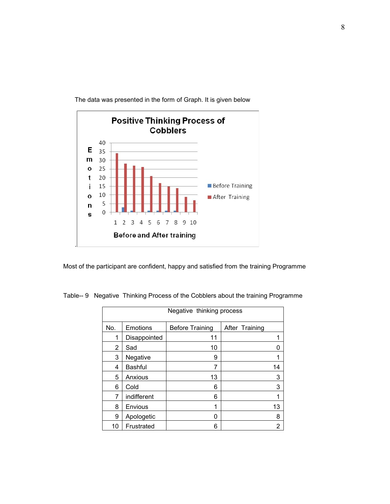

The data was presented in the form of Graph. It is given below

Most of the participant are confident, happy and satisfied from the training Programme

Table-- 9 Negative Thinking Process of the Cobblers about the training Programme

| Negative thinking process |                |                        |                |  |  |  |  |  |  |  |
|---------------------------|----------------|------------------------|----------------|--|--|--|--|--|--|--|
| No.                       | Emotions       | <b>Before Training</b> | After Training |  |  |  |  |  |  |  |
| 1                         | Disappointed   | 11                     | 1              |  |  |  |  |  |  |  |
| 2                         | Sad            | 10                     | O              |  |  |  |  |  |  |  |
| 3                         | Negative       | 9                      | 1              |  |  |  |  |  |  |  |
| 4                         | <b>Bashful</b> | 7                      | 14             |  |  |  |  |  |  |  |
| 5                         | Anxious        | 13                     | 3              |  |  |  |  |  |  |  |
| 6                         | Cold           | 6                      | 3              |  |  |  |  |  |  |  |
| 7                         | indifferent    | 6                      | 1              |  |  |  |  |  |  |  |
| 8                         | Envious        | 1                      | 13             |  |  |  |  |  |  |  |
| 9                         | Apologetic     | 0                      | 8              |  |  |  |  |  |  |  |
| 10                        | Frustrated     | 6                      | 2              |  |  |  |  |  |  |  |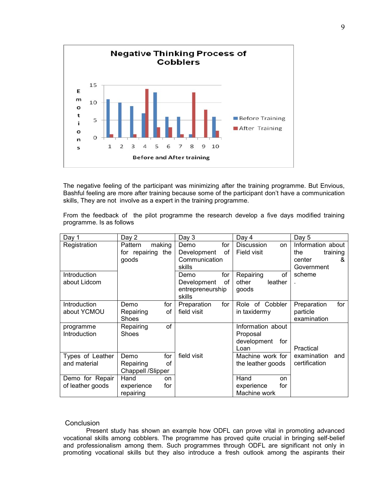

The negative feeling of the participant was minimizing after the training programme. But Envious, Bashful feeling are more after training because some of the participant don't have a communication skills, They are not involve as a expert in the training programme.

From the feedback of the pilot programme the research develop a five days modified training programme. Is as follows

| Day 1             | Day 2             |     | Day 3            |     | Day 4              | Day 5              |
|-------------------|-------------------|-----|------------------|-----|--------------------|--------------------|
| Registration      | making<br>Pattern |     | Demo             | for | Discussion<br>on   | Information about  |
|                   | for repairing the |     | Development      | οf  | Field visit        | the<br>training    |
|                   | goods             |     | Communication    |     |                    | center<br>&        |
|                   |                   |     | skills           |     |                    | Government         |
| Introduction      |                   |     | Demo             | for | Repairing<br>οf    | scheme             |
| about Lidcom      |                   |     | Development      | οf  | leather<br>other   |                    |
|                   |                   |     | entrepreneurship |     | goods              |                    |
|                   |                   |     | skills           |     |                    |                    |
| Introduction      | Demo              | for | Preparation      | for | Role of Cobbler    | for<br>Preparation |
| about YCMOU       | Repairing         | οf  | field visit      |     | in taxidermy       | particle           |
|                   | <b>Shoes</b>      |     |                  |     |                    | examination        |
| programme         | Repairing         | of  |                  |     | Information about  |                    |
| Introduction      | <b>Shoes</b>      |     |                  |     | Proposal           |                    |
|                   |                   |     |                  |     | development<br>for |                    |
|                   |                   |     |                  |     | Loan               | Practical          |
| Types of Leather  | Demo              | for | field visit      |     | Machine work for   | examination<br>and |
| and material      | Repairing         | οf  |                  |     | the leather goods  | certification      |
| Chappell /Slipper |                   |     |                  |     |                    |                    |
| Demo for Repair   | Hand              | on  |                  |     | Hand<br>on         |                    |
| of leather goods  | experience        | for |                  |     | for<br>experience  |                    |
|                   | repairing         |     |                  |     | Machine work       |                    |

#### **Conclusion**

Present study has shown an example how ODFL can prove vital in promoting advanced vocational skills among cobblers. The programme has proved quite crucial in bringing self-belief and professionalism among them. Such programmes through ODFL are significant not only in promoting vocational skills but they also introduce a fresh outlook among the aspirants their